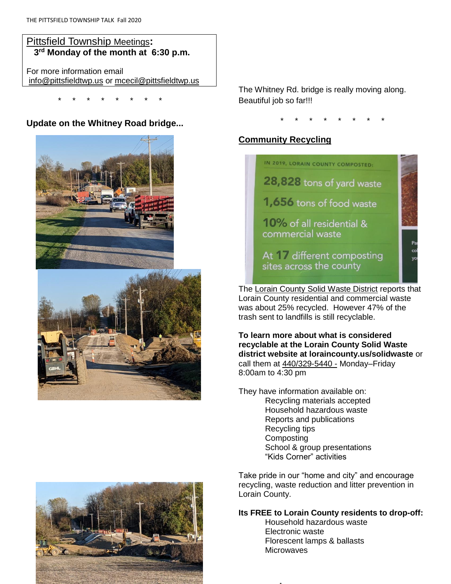# Pittsfield Township Meetings**: 3 rd Monday of the month at 6:30 p.m.**

For more information email [info@pittsfieldtwp.us](mailto:info@pittsfieldtwp.u) or [mcecil@pittsfieldtwp.us](mailto:tdiedrick@pittsfieldtwp.us)

\* \* \* \* \* \* \* \*

# **Update on the Whitney Road bridge...**





The Whitney Rd. bridge is really moving along. Beautiful job so far!!!

\* \* \* \* \* \* \* \*

# **Community Recycling**



The Lorain County Solid Waste District reports that Lorain County residential and commercial waste was about 25% recycled. However 47% of the trash sent to landfills is still recyclable.

**To learn more about what is considered recyclable at the Lorain County Solid Waste district website at loraincounty.us/solidwaste** or call them at 440/329-5440 - Monday–Friday 8:00am to 4:30 pm

They have information available on: Recycling materials accepted Household hazardous waste Reports and publications Recycling tips **Composting** School & group presentations "Kids Corner" activities

Take pride in our "home and city" and encourage recycling, waste reduction and litter prevention in Lorain County.

#### **Its FREE to Lorain County residents to drop-off:**

Household hazardous waste Electronic waste Florescent lamps & ballasts **Microwaves** 

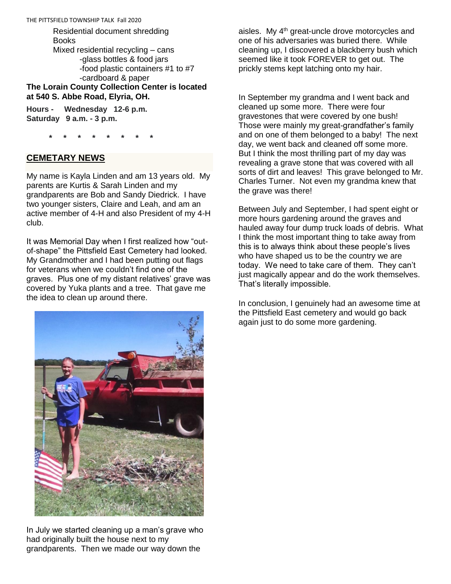Residential document shredding **Books** Mixed residential recycling – cans -glass bottles & food jars -food plastic containers #1 to #7 -cardboard & paper

**The Lorain County Collection Center is located at 540 S. Abbe Road, Elyria, OH.** 

**Hours - Wednesday 12-6 p.m. Saturday 9 a.m. - 3 p.m.**

 **\* \* \* \* \* \* \* \***

#### **CEMETARY NEWS**

My name is Kayla Linden and am 13 years old. My parents are Kurtis & Sarah Linden and my grandparents are Bob and Sandy Diedrick. I have two younger sisters, Claire and Leah, and am an active member of 4-H and also President of my 4-H club.

It was Memorial Day when I first realized how "outof-shape" the Pittsfield East Cemetery had looked. My Grandmother and I had been putting out flags for veterans when we couldn't find one of the graves. Plus one of my distant relatives' grave was covered by Yuka plants and a tree. That gave me the idea to clean up around there.



In July we started cleaning up a man's grave who had originally built the house next to my grandparents. Then we made our way down the

aisles. My  $4<sup>th</sup>$  great-uncle drove motorcycles and one of his adversaries was buried there. While cleaning up, I discovered a blackberry bush which seemed like it took FOREVER to get out. The prickly stems kept latching onto my hair.

In September my grandma and I went back and cleaned up some more. There were four gravestones that were covered by one bush! Those were mainly my great-grandfather's family and on one of them belonged to a baby! The next day, we went back and cleaned off some more. But I think the most thrilling part of my day was revealing a grave stone that was covered with all sorts of dirt and leaves! This grave belonged to Mr. Charles Turner. Not even my grandma knew that the grave was there!

Between July and September, I had spent eight or more hours gardening around the graves and hauled away four dump truck loads of debris. What I think the most important thing to take away from this is to always think about these people's lives who have shaped us to be the country we are today. We need to take care of them. They can't just magically appear and do the work themselves. That's literally impossible.

In conclusion, I genuinely had an awesome time at the Pittsfield East cemetery and would go back again just to do some more gardening.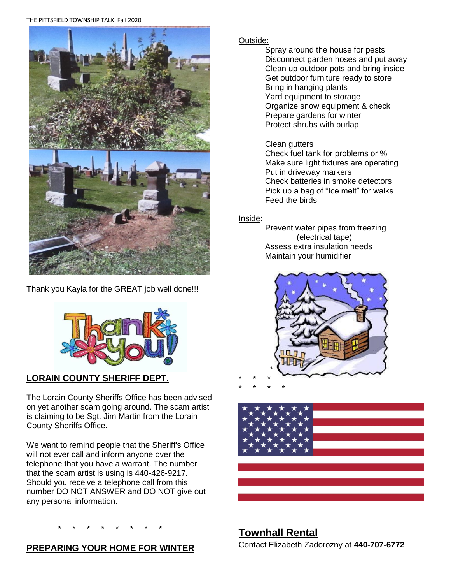#### THE PITTSFIELD TOWNSHIP TALK Fall 2020



Thank you Kayla for the GREAT job well done!!!



# **LORAIN COUNTY SHERIFF DEPT.**

The Lorain County Sheriffs Office has been advised on yet another scam going around. The scam artist is claiming to be Sgt. Jim Martin from the Lorain County Sheriffs Office.

We want to remind people that the Sheriff's Office will not ever call and inform anyone over the telephone that you have a warrant. The number that the scam artist is using is 440-426-9217. Should you receive a telephone call from this number DO NOT ANSWER and DO NOT give out any personal information.

# \* \* \* \* \* \* \* \*

# **PREPARING YOUR HOME FOR WINTER**

# Outside:

Spray around the house for pests Disconnect garden hoses and put away Clean up outdoor pots and bring inside Get outdoor furniture ready to store Bring in hanging plants Yard equipment to storage Organize snow equipment & check Prepare gardens for winter Protect shrubs with burlap

### Clean gutters

Check fuel tank for problems or % Make sure light fixtures are operating Put in driveway markers Check batteries in smoke detectors Pick up a bag of "Ice melt" for walks Feed the birds

# Inside:

Prevent water pipes from freezing (electrical tape) Assess extra insulation needs Maintain your humidifier





# **Townhall Rental**

Contact Elizabeth Zadorozny at **440-707-6772**